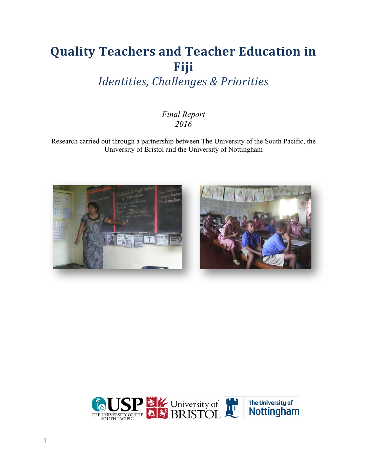# **Quality Teachers and Teacher Education in Fiji**

**Identities, Challenges & Priorities** 

### *Final Report 2016*

Research carried out through a partnership between The University of the South Pacific, the University of Bristol and the University of Nottingham





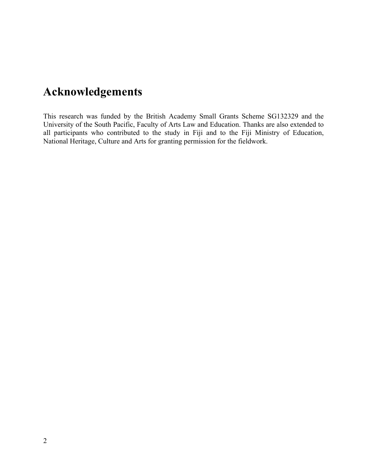# **Acknowledgements**

This research was funded by the British Academy Small Grants Scheme SG132329 and the University of the South Pacific, Faculty of Arts Law and Education. Thanks are also extended to all participants who contributed to the study in Fiji and to the Fiji Ministry of Education, National Heritage, Culture and Arts for granting permission for the fieldwork.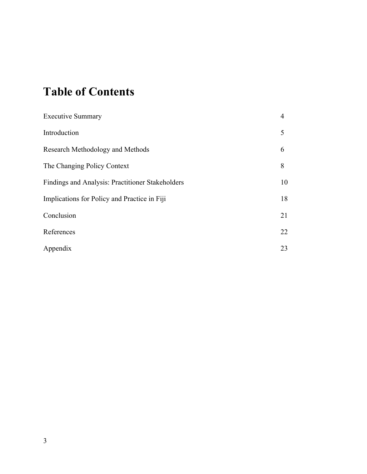# **Table of Contents**

| <b>Executive Summary</b>                         | $\overline{4}$ |
|--------------------------------------------------|----------------|
| Introduction                                     | 5              |
| Research Methodology and Methods                 | 6              |
| The Changing Policy Context                      | 8              |
| Findings and Analysis: Practitioner Stakeholders | 10             |
| Implications for Policy and Practice in Fiji     | 18             |
| Conclusion                                       | 21             |
| References                                       | 22             |
| Appendix                                         | 23             |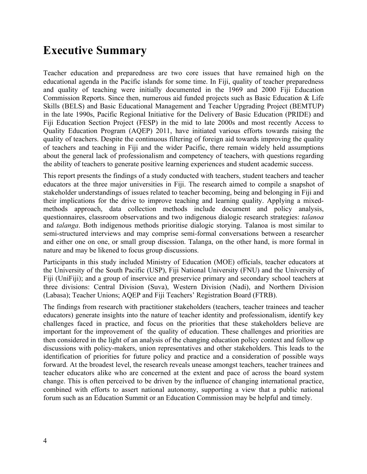## **Executive Summary**

Teacher education and preparedness are two core issues that have remained high on the educational agenda in the Pacific islands for some time. In Fiji, quality of teacher preparedness and quality of teaching were initially documented in the 1969 and 2000 Fiji Education Commission Reports. Since then, numerous aid funded projects such as Basic Education & Life Skills (BELS) and Basic Educational Management and Teacher Upgrading Project (BEMTUP) in the late 1990s, Pacific Regional Initiative for the Delivery of Basic Education (PRIDE) and Fiji Education Section Project (FESP) in the mid to late 2000s and most recently Access to Quality Education Program (AQEP) 2011, have initiated various efforts towards raising the quality of teachers. Despite the continuous filtering of foreign aid towards improving the quality of teachers and teaching in Fiji and the wider Pacific, there remain widely held assumptions about the general lack of professionalism and competency of teachers, with questions regarding the ability of teachers to generate positive learning experiences and student academic success.

This report presents the findings of a study conducted with teachers, student teachers and teacher educators at the three major universities in Fiji. The research aimed to compile a snapshot of stakeholder understandings of issues related to teacher becoming, being and belonging in Fiji and their implications for the drive to improve teaching and learning quality. Applying a mixedmethods approach, data collection methods include document and policy analysis, questionnaires, classroom observations and two indigenous dialogic research strategies: *talanoa*  and *talanga*. Both indigenous methods prioritise dialogic storying. Talanoa is most similar to semi-structured interviews and may comprise semi-formal conversations between a researcher and either one on one, or small group discssion. Talanga, on the other hand, is more formal in nature and may be likened to focus group discussions.

Participants in this study included Ministry of Education (MOE) officials, teacher educators at the University of the South Pacific (USP), Fiji National University (FNU) and the University of Fiji (UniFiji); and a group of inservice and preservice primary and secondary school teachers at three divisions: Central Division (Suva), Western Division (Nadi), and Northern Division (Labasa); Teacher Unions; AQEP and Fiji Teachers' Registration Board (FTRB).

The findings from research with practitioner stakeholders (teachers, teacher trainees and teacher educators) generate insights into the nature of teacher identity and professionalism, identify key challenges faced in practice, and focus on the priorities that these stakeholders believe are important for the improvement of the quality of education. These challenges and priorities are then considered in the light of an analysis of the changing education policy context and follow up discussions with policy-makers, union representatives and other stakeholders. This leads to the identification of priorities for future policy and practice and a consideration of possible ways forward. At the broadest level, the research reveals unease amongst teachers, teacher trainees and teacher educators alike who are concerned at the extent and pace of across the board system change. This is often perceived to be driven by the influence of changing international practice, combined with efforts to assert national autonomy, supporting a view that a public national forum such as an Education Summit or an Education Commission may be helpful and timely.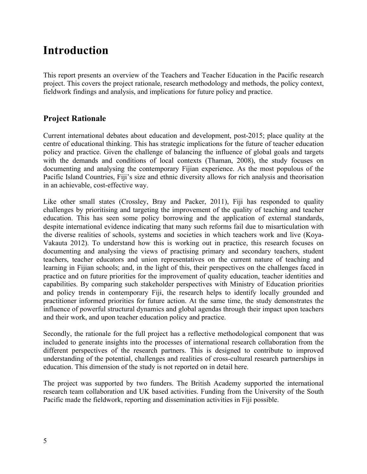## **Introduction**

This report presents an overview of the Teachers and Teacher Education in the Pacific research project. This covers the project rationale, research methodology and methods, the policy context, fieldwork findings and analysis, and implications for future policy and practice.

### **Project Rationale**

Current international debates about education and development, post-2015; place quality at the centre of educational thinking. This has strategic implications for the future of teacher education policy and practice. Given the challenge of balancing the influence of global goals and targets with the demands and conditions of local contexts (Thaman, 2008), the study focuses on documenting and analysing the contemporary Fijian experience. As the most populous of the Pacific Island Countries, Fiji's size and ethnic diversity allows for rich analysis and theorisation in an achievable, cost-effective way.

Like other small states (Crossley, Bray and Packer, 2011), Fiji has responded to quality challenges by prioritising and targeting the improvement of the quality of teaching and teacher education. This has seen some policy borrowing and the application of external standards, despite international evidence indicating that many such reforms fail due to misarticulation with the diverse realities of schools, systems and societies in which teachers work and live (Koya-Vakauta 2012). To understand how this is working out in practice, this research focuses on documenting and analysing the views of practising primary and secondary teachers, student teachers, teacher educators and union representatives on the current nature of teaching and learning in Fijian schools; and, in the light of this, their perspectives on the challenges faced in practice and on future priorities for the improvement of quality education, teacher identities and capabilities. By comparing such stakeholder perspectives with Ministry of Education priorities and policy trends in contemporary Fiji, the research helps to identify locally grounded and practitioner informed priorities for future action. At the same time, the study demonstrates the influence of powerful structural dynamics and global agendas through their impact upon teachers and their work, and upon teacher education policy and practice.

Secondly, the rationale for the full project has a reflective methodological component that was included to generate insights into the processes of international research collaboration from the different perspectives of the research partners. This is designed to contribute to improved understanding of the potential, challenges and realities of cross-cultural research partnerships in education. This dimension of the study is not reported on in detail here.

The project was supported by two funders. The British Academy supported the international research team collaboration and UK based activities. Funding from the University of the South Pacific made the fieldwork, reporting and dissemination activities in Fiji possible.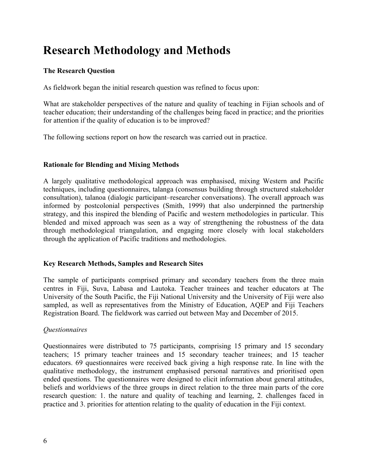# **Research Methodology and Methods**

### **The Research Question**

As fieldwork began the initial research question was refined to focus upon:

What are stakeholder perspectives of the nature and quality of teaching in Fijian schools and of teacher education; their understanding of the challenges being faced in practice; and the priorities for attention if the quality of education is to be improved?

The following sections report on how the research was carried out in practice.

#### **Rationale for Blending and Mixing Methods**

A largely qualitative methodological approach was emphasised, mixing Western and Pacific techniques, including questionnaires, talanga (consensus building through structured stakeholder consultation), talanoa (dialogic participant–researcher conversations). The overall approach was informed by postcolonial perspectives (Smith, 1999) that also underpinned the partnership strategy, and this inspired the blending of Pacific and western methodologies in particular. This blended and mixed approach was seen as a way of strengthening the robustness of the data through methodological triangulation, and engaging more closely with local stakeholders through the application of Pacific traditions and methodologies.

#### **Key Research Methods, Samples and Research Sites**

The sample of participants comprised primary and secondary teachers from the three main centres in Fiji, Suva, Labasa and Lautoka. Teacher trainees and teacher educators at The University of the South Pacific, the Fiji National University and the University of Fiji were also sampled, as well as representatives from the Ministry of Education, AQEP and Fiji Teachers Registration Board. The fieldwork was carried out between May and December of 2015.

#### *Questionnaires*

Questionnaires were distributed to 75 participants, comprising 15 primary and 15 secondary teachers; 15 primary teacher trainees and 15 secondary teacher trainees; and 15 teacher educators. 69 questionnaires were received back giving a high response rate. In line with the qualitative methodology, the instrument emphasised personal narratives and prioritised open ended questions. The questionnaires were designed to elicit information about general attitudes, beliefs and worldviews of the three groups in direct relation to the three main parts of the core research question: 1. the nature and quality of teaching and learning, 2. challenges faced in practice and 3. priorities for attention relating to the quality of education in the Fiji context.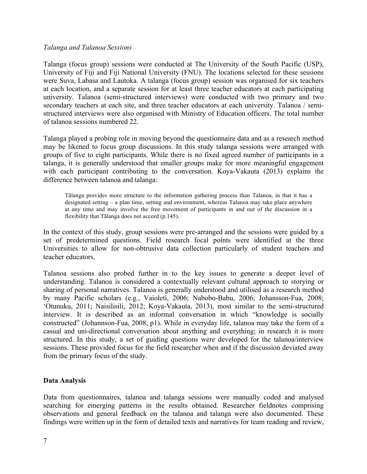#### *Talanga and Talanoa Sessions*

Talanga (focus group) sessions were conducted at The University of the South Pacific (USP), University of Fiji and Fiji National University (FNU). The locations selected for these sessions were Suva, Labasa and Lautoka. A talanga (focus group) session was organised for six teachers at each location, and a separate session for at least three teacher educators at each participating university. Talanoa (semi-structured interviews) were conducted with two primary and two secondary teachers at each site, and three teacher educators at each university. Talanoa / semistructured interviews were also organised with Ministry of Education officers. The total number of talanoa sessions numbered 22.

Talanga played a probing role in moving beyond the questionnaire data and as a research method may be likened to focus group discussions. In this study talanga sessions were arranged with groups of five to eight participants. While there is no fixed agreed number of participants in a talanga, it is generally understood that smaller groups make for more meaningful engagement with each participant contributing to the conversation. Koya-Vakauta (2013) explains the difference between talanoa and talanga:

Tālanga provides more structure to the information gathering process than Talanoa, in that it has a designated setting – a plan time, setting and environment, whereas Talanoa may take place anywhere at any time and may involve the free movement of participants in and out of the discussion in a flexibility that Tālanga does not accord (p.145).

In the context of this study, group sessions were pre-arranged and the sessions were guided by a set of predetermined questions. Field research focal points were identified at the three Universities to allow for non-obtrusive data collection particularly of student teachers and teacher educators.

Talanoa sessions also probed further in to the key issues to generate a deeper level of understanding. Talanoa is considered a contextually relevant cultural approach to storying or sharing of personal narratives. Talanoa is generally understood and utilised as a research method by many Pacific scholars (e.g., Vaioleti, 2006; Nabobo-Babu, 2006; Johansson-Fua, 2008; 'Otunuku, 2011; Naisilisili, 2012; Koya-Vakauta, 2013), most similar to the semi-structured interview. It is described as an informal conversation in which "knowledge is socially constructed" (Johannson-Fua, 2008, p1). While in everyday life, talanoa may take the form of a casual and uni-directional conversation about anything and everything; in research it is more structured. In this study, a set of guiding questions were developed for the talanoa/interview sessions. These provided focus for the field researcher when and if the discussion deviated away from the primary focus of the study.

#### **Data Analysis**

Data from questionnaires, talanoa and talanga sessions were manually coded and analysed searching for emerging patterns in the results obtained. Researcher fieldnotes comprising observations and general feedback on the talanoa and talanga were also documented. These findings were written up in the form of detailed texts and narratives for team reading and review,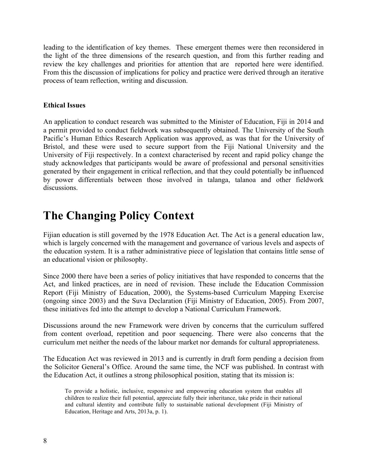leading to the identification of key themes. These emergent themes were then reconsidered in the light of the three dimensions of the research question, and from this further reading and review the key challenges and priorities for attention that are reported here were identified. From this the discussion of implications for policy and practice were derived through an iterative process of team reflection, writing and discussion.

#### **Ethical Issues**

An application to conduct research was submitted to the Minister of Education, Fiji in 2014 and a permit provided to conduct fieldwork was subsequently obtained. The University of the South Pacific's Human Ethics Research Application was approved, as was that for the University of Bristol, and these were used to secure support from the Fiji National University and the University of Fiji respectively. In a context characterised by recent and rapid policy change the study acknowledges that participants would be aware of professional and personal sensitivities generated by their engagement in critical reflection, and that they could potentially be influenced by power differentials between those involved in talanga, talanoa and other fieldwork discussions.

# **The Changing Policy Context**

Fijian education is still governed by the 1978 Education Act. The Act is a general education law, which is largely concerned with the management and governance of various levels and aspects of the education system. It is a rather administrative piece of legislation that contains little sense of an educational vision or philosophy.

Since 2000 there have been a series of policy initiatives that have responded to concerns that the Act, and linked practices, are in need of revision. These include the Education Commission Report (Fiji Ministry of Education, 2000), the Systems-based Curriculum Mapping Exercise (ongoing since 2003) and the Suva Declaration (Fiji Ministry of Education, 2005). From 2007, these initiatives fed into the attempt to develop a National Curriculum Framework.

Discussions around the new Framework were driven by concerns that the curriculum suffered from content overload, repetition and poor sequencing. There were also concerns that the curriculum met neither the needs of the labour market nor demands for cultural appropriateness.

The Education Act was reviewed in 2013 and is currently in draft form pending a decision from the Solicitor General's Office. Around the same time, the NCF was published. In contrast with the Education Act, it outlines a strong philosophical position, stating that its mission is:

To provide a holistic, inclusive, responsive and empowering education system that enables all children to realize their full potential, appreciate fully their inheritance, take pride in their national and cultural identity and contribute fully to sustainable national development (Fiji Ministry of Education, Heritage and Arts, 2013a, p. 1).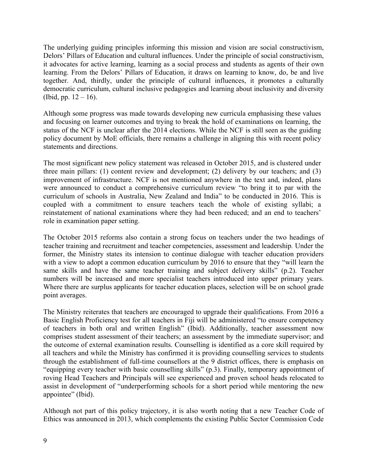The underlying guiding principles informing this mission and vision are social constructivism, Delors' Pillars of Education and cultural influences. Under the principle of social constructivism, it advocates for active learning, learning as a social process and students as agents of their own learning. From the Delors' Pillars of Education, it draws on learning to know, do, be and live together. And, thirdly, under the principle of cultural influences, it promotes a culturally democratic curriculum, cultural inclusive pedagogies and learning about inclusivity and diversity (Ibid, pp.  $12 - 16$ ).

Although some progress was made towards developing new curricula emphasising these values and focusing on learner outcomes and trying to break the hold of examinations on learning, the status of the NCF is unclear after the 2014 elections. While the NCF is still seen as the guiding policy document by MoE officials, there remains a challenge in aligning this with recent policy statements and directions.

The most significant new policy statement was released in October 2015, and is clustered under three main pillars: (1) content review and development; (2) delivery by our teachers; and (3) improvement of infrastructure. NCF is not mentioned anywhere in the text and, indeed, plans were announced to conduct a comprehensive curriculum review "to bring it to par with the curriculum of schools in Australia, New Zealand and India" to be conducted in 2016. This is coupled with a commitment to ensure teachers teach the whole of existing syllabi; a reinstatement of national examinations where they had been reduced; and an end to teachers' role in examination paper setting.

The October 2015 reforms also contain a strong focus on teachers under the two headings of teacher training and recruitment and teacher competencies, assessment and leadership*.* Under the former, the Ministry states its intension to continue dialogue with teacher education providers with a view to adopt a common education curriculum by 2016 to ensure that they "will learn the same skills and have the same teacher training and subject delivery skills" (p.2). Teacher numbers will be increased and more specialist teachers introduced into upper primary years. Where there are surplus applicants for teacher education places, selection will be on school grade point averages.

The Ministry reiterates that teachers are encouraged to upgrade their qualifications. From 2016 a Basic English Proficiency test for all teachers in Fiji will be administered "to ensure competency of teachers in both oral and written English" (Ibid). Additionally, teacher assessment now comprises student assessment of their teachers; an assessment by the immediate supervisor; and the outcome of external examination results. Counselling is identified as a core skill required by all teachers and while the Ministry has confirmed it is providing counselling services to students through the establishment of full-time counsellors at the 9 district offices, there is emphasis on "equipping every teacher with basic counselling skills" (p.3). Finally, temporary appointment of roving Head Teachers and Principals will see experienced and proven school heads relocated to assist in development of "underperforming schools for a short period while mentoring the new appointee" (Ibid).

Although not part of this policy trajectory, it is also worth noting that a new Teacher Code of Ethics was announced in 2013, which complements the existing Public Sector Commission Code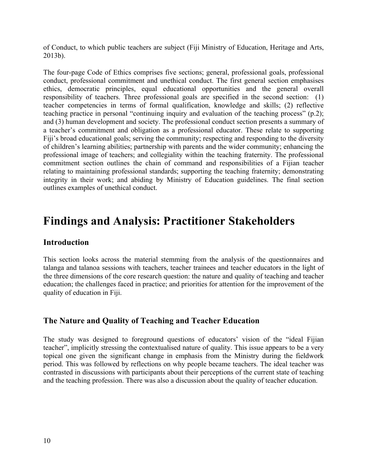of Conduct, to which public teachers are subject (Fiji Ministry of Education, Heritage and Arts, 2013b).

The four-page Code of Ethics comprises five sections; general, professional goals, professional conduct, professional commitment and unethical conduct. The first general section emphasises ethics, democratic principles, equal educational opportunities and the general overall responsibility of teachers. Three professional goals are specified in the second section: (1) teacher competencies in terms of formal qualification, knowledge and skills; (2) reflective teaching practice in personal "continuing inquiry and evaluation of the teaching process" (p.2); and (3) human development and society. The professional conduct section presents a summary of a teacher's commitment and obligation as a professional educator. These relate to supporting Fiji's broad educational goals; serving the community; respecting and responding to the diversity of children's learning abilities; partnership with parents and the wider community; enhancing the professional image of teachers; and collegiality within the teaching fraternity. The professional commitment section outlines the chain of command and responsibilities of a Fijian teacher relating to maintaining professional standards; supporting the teaching fraternity; demonstrating integrity in their work; and abiding by Ministry of Education guidelines. The final section outlines examples of unethical conduct.

### **Findings and Analysis: Practitioner Stakeholders**

### **Introduction**

This section looks across the material stemming from the analysis of the questionnaires and talanga and talanoa sessions with teachers, teacher trainees and teacher educators in the light of the three dimensions of the core research question: the nature and quality of teaching and teacher education; the challenges faced in practice; and priorities for attention for the improvement of the quality of education in Fiji.

### **The Nature and Quality of Teaching and Teacher Education**

The study was designed to foreground questions of educators' vision of the "ideal Fijian teacher", implicitly stressing the contextualised nature of quality. This issue appears to be a very topical one given the significant change in emphasis from the Ministry during the fieldwork period. This was followed by reflections on why people became teachers. The ideal teacher was contrasted in discussions with participants about their perceptions of the current state of teaching and the teaching profession. There was also a discussion about the quality of teacher education.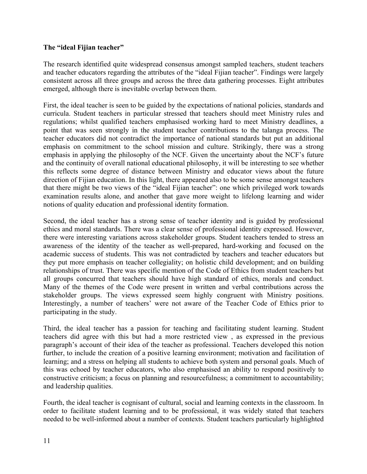#### **The "ideal Fijian teacher"**

The research identified quite widespread consensus amongst sampled teachers, student teachers and teacher educators regarding the attributes of the "ideal Fijian teacher". Findings were largely consistent across all three groups and across the three data gathering processes. Eight attributes emerged, although there is inevitable overlap between them.

First, the ideal teacher is seen to be guided by the expectations of national policies, standards and curricula. Student teachers in particular stressed that teachers should meet Ministry rules and regulations; whilst qualified teachers emphasised working hard to meet Ministry deadlines, a point that was seen strongly in the student teacher contributions to the talanga process. The teacher educators did not contradict the importance of national standards but put an additional emphasis on commitment to the school mission and culture. Strikingly, there was a strong emphasis in applying the philosophy of the NCF. Given the uncertainty about the NCF's future and the continuity of overall national educational philosophy, it will be interesting to see whether this reflects some degree of distance between Ministry and educator views about the future direction of Fijian education. In this light, there appeared also to be some sense amongst teachers that there might be two views of the "ideal Fijian teacher": one which privileged work towards examination results alone, and another that gave more weight to lifelong learning and wider notions of quality education and professional identity formation.

Second, the ideal teacher has a strong sense of teacher identity and is guided by professional ethics and moral standards. There was a clear sense of professional identity expressed. However, there were interesting variations across stakeholder groups. Student teachers tended to stress an awareness of the identity of the teacher as well-prepared, hard-working and focused on the academic success of students. This was not contradicted by teachers and teacher educators but they put more emphasis on teacher collegiality; on holistic child development; and on building relationships of trust. There was specific mention of the Code of Ethics from student teachers but all groups concurred that teachers should have high standard of ethics, morals and conduct. Many of the themes of the Code were present in written and verbal contributions across the stakeholder groups. The views expressed seem highly congruent with Ministry positions. Interestingly, a number of teachers' were not aware of the Teacher Code of Ethics prior to participating in the study.

Third, the ideal teacher has a passion for teaching and facilitating student learning. Student teachers did agree with this but had a more restricted view , as expressed in the previous paragraph's account of their idea of the teacher as professional. Teachers developed this notion further, to include the creation of a positive learning environment; motivation and facilitation of learning; and a stress on helping all students to achieve both system and personal goals. Much of this was echoed by teacher educators, who also emphasised an ability to respond positively to constructive criticism; a focus on planning and resourcefulness; a commitment to accountability; and leadership qualities.

Fourth, the ideal teacher is cognisant of cultural, social and learning contexts in the classroom. In order to facilitate student learning and to be professional, it was widely stated that teachers needed to be well-informed about a number of contexts. Student teachers particularly highlighted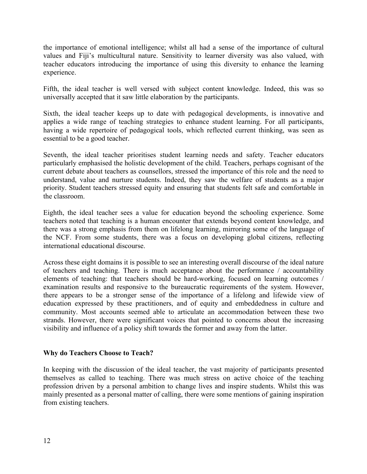the importance of emotional intelligence; whilst all had a sense of the importance of cultural values and Fiji's multicultural nature. Sensitivity to learner diversity was also valued, with teacher educators introducing the importance of using this diversity to enhance the learning experience.

Fifth, the ideal teacher is well versed with subject content knowledge. Indeed, this was so universally accepted that it saw little elaboration by the participants.

Sixth, the ideal teacher keeps up to date with pedagogical developments, is innovative and applies a wide range of teaching strategies to enhance student learning. For all participants, having a wide repertoire of pedagogical tools, which reflected current thinking, was seen as essential to be a good teacher.

Seventh, the ideal teacher prioritises student learning needs and safety. Teacher educators particularly emphasised the holistic development of the child. Teachers, perhaps cognisant of the current debate about teachers as counsellors, stressed the importance of this role and the need to understand, value and nurture students. Indeed, they saw the welfare of students as a major priority. Student teachers stressed equity and ensuring that students felt safe and comfortable in the classroom.

Eighth, the ideal teacher sees a value for education beyond the schooling experience. Some teachers noted that teaching is a human encounter that extends beyond content knowledge, and there was a strong emphasis from them on lifelong learning, mirroring some of the language of the NCF. From some students, there was a focus on developing global citizens, reflecting international educational discourse.

Across these eight domains it is possible to see an interesting overall discourse of the ideal nature of teachers and teaching. There is much acceptance about the performance / accountability elements of teaching: that teachers should be hard-working, focused on learning outcomes / examination results and responsive to the bureaucratic requirements of the system. However, there appears to be a stronger sense of the importance of a lifelong and lifewide view of education expressed by these practitioners, and of equity and embeddedness in culture and community. Most accounts seemed able to articulate an accommodation between these two strands. However, there were significant voices that pointed to concerns about the increasing visibility and influence of a policy shift towards the former and away from the latter.

#### **Why do Teachers Choose to Teach?**

In keeping with the discussion of the ideal teacher, the vast majority of participants presented themselves as called to teaching. There was much stress on active choice of the teaching profession driven by a personal ambition to change lives and inspire students. Whilst this was mainly presented as a personal matter of calling, there were some mentions of gaining inspiration from existing teachers.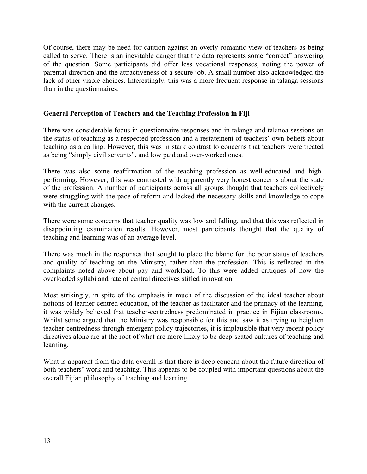Of course, there may be need for caution against an overly-romantic view of teachers as being called to serve. There is an inevitable danger that the data represents some "correct" answering of the question. Some participants did offer less vocational responses, noting the power of parental direction and the attractiveness of a secure job. A small number also acknowledged the lack of other viable choices. Interestingly, this was a more frequent response in talanga sessions than in the questionnaires.

#### **General Perception of Teachers and the Teaching Profession in Fiji**

There was considerable focus in questionnaire responses and in talanga and talanoa sessions on the status of teaching as a respected profession and a restatement of teachers' own beliefs about teaching as a calling. However, this was in stark contrast to concerns that teachers were treated as being "simply civil servants", and low paid and over-worked ones.

There was also some reaffirmation of the teaching profession as well-educated and highperforming. However, this was contrasted with apparently very honest concerns about the state of the profession. A number of participants across all groups thought that teachers collectively were struggling with the pace of reform and lacked the necessary skills and knowledge to cope with the current changes.

There were some concerns that teacher quality was low and falling, and that this was reflected in disappointing examination results. However, most participants thought that the quality of teaching and learning was of an average level.

There was much in the responses that sought to place the blame for the poor status of teachers and quality of teaching on the Ministry, rather than the profession. This is reflected in the complaints noted above about pay and workload. To this were added critiques of how the overloaded syllabi and rate of central directives stifled innovation.

Most strikingly, in spite of the emphasis in much of the discussion of the ideal teacher about notions of learner-centred education, of the teacher as facilitator and the primacy of the learning, it was widely believed that teacher-centredness predominated in practice in Fijian classrooms. Whilst some argued that the Ministry was responsible for this and saw it as trying to heighten teacher-centredness through emergent policy trajectories, it is implausible that very recent policy directives alone are at the root of what are more likely to be deep-seated cultures of teaching and learning.

What is apparent from the data overall is that there is deep concern about the future direction of both teachers' work and teaching. This appears to be coupled with important questions about the overall Fijian philosophy of teaching and learning.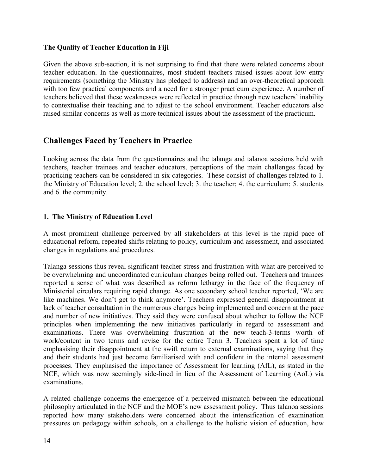#### **The Quality of Teacher Education in Fiji**

Given the above sub-section, it is not surprising to find that there were related concerns about teacher education. In the questionnaires, most student teachers raised issues about low entry requirements (something the Ministry has pledged to address) and an over-theoretical approach with too few practical components and a need for a stronger practicum experience. A number of teachers believed that these weaknesses were reflected in practice through new teachers' inability to contextualise their teaching and to adjust to the school environment. Teacher educators also raised similar concerns as well as more technical issues about the assessment of the practicum.

### **Challenges Faced by Teachers in Practice**

Looking across the data from the questionnaires and the talanga and talanoa sessions held with teachers, teacher trainees and teacher educators, perceptions of the main challenges faced by practicing teachers can be considered in six categories. These consist of challenges related to 1. the Ministry of Education level; 2. the school level; 3. the teacher; 4. the curriculum; 5. students and 6. the community.

#### **1. The Ministry of Education Level**

A most prominent challenge perceived by all stakeholders at this level is the rapid pace of educational reform, repeated shifts relating to policy, curriculum and assessment, and associated changes in regulations and procedures.

Talanga sessions thus reveal significant teacher stress and frustration with what are perceived to be overwhelming and uncoordinated curriculum changes being rolled out. Teachers and trainees reported a sense of what was described as reform lethargy in the face of the frequency of Ministerial circulars requiring rapid change. As one secondary school teacher reported, 'We are like machines. We don't get to think anymore'. Teachers expressed general disappointment at lack of teacher consultation in the numerous changes being implemented and concern at the pace and number of new initiatives. They said they were confused about whether to follow the NCF principles when implementing the new initiatives particularly in regard to assessment and examinations. There was overwhelming frustration at the new teach-3-terms worth of work/content in two terms and revise for the entire Term 3. Teachers spent a lot of time emphasising their disappointment at the swift return to external examinations, saying that they and their students had just become familiarised with and confident in the internal assessment processes. They emphasised the importance of Assessment for learning (AfL), as stated in the NCF, which was now seemingly side-lined in lieu of the Assessment of Learning (AoL) via examinations.

A related challenge concerns the emergence of a perceived mismatch between the educational philosophy articulated in the NCF and the MOE's new assessment policy. Thus talanoa sessions reported how many stakeholders were concerned about the intensification of examination pressures on pedagogy within schools, on a challenge to the holistic vision of education, how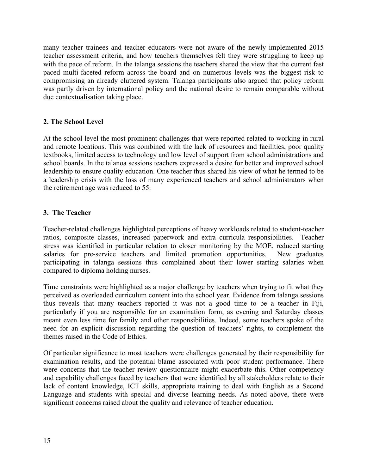many teacher trainees and teacher educators were not aware of the newly implemented 2015 teacher assessment criteria, and how teachers themselves felt they were struggling to keep up with the pace of reform. In the talanga sessions the teachers shared the view that the current fast paced multi-faceted reform across the board and on numerous levels was the biggest risk to compromising an already cluttered system. Talanga participants also argued that policy reform was partly driven by international policy and the national desire to remain comparable without due contextualisation taking place.

#### **2. The School Level**

At the school level the most prominent challenges that were reported related to working in rural and remote locations. This was combined with the lack of resources and facilities, poor quality textbooks, limited access to technology and low level of support from school administrations and school boards. In the talanoa sessions teachers expressed a desire for better and improved school leadership to ensure quality education. One teacher thus shared his view of what he termed to be a leadership crisis with the loss of many experienced teachers and school administrators when the retirement age was reduced to 55.

#### **3. The Teacher**

Teacher-related challenges highlighted perceptions of heavy workloads related to student-teacher ratios, composite classes, increased paperwork and extra curricula responsibilities. Teacher stress was identified in particular relation to closer monitoring by the MOE, reduced starting salaries for pre-service teachers and limited promotion opportunities. New graduates participating in talanga sessions thus complained about their lower starting salaries when compared to diploma holding nurses.

Time constraints were highlighted as a major challenge by teachers when trying to fit what they perceived as overloaded curriculum content into the school year. Evidence from talanga sessions thus reveals that many teachers reported it was not a good time to be a teacher in Fiji, particularly if you are responsible for an examination form, as evening and Saturday classes meant even less time for family and other responsibilities. Indeed, some teachers spoke of the need for an explicit discussion regarding the question of teachers' rights, to complement the themes raised in the Code of Ethics.

Of particular significance to most teachers were challenges generated by their responsibility for examination results, and the potential blame associated with poor student performance. There were concerns that the teacher review questionnaire might exacerbate this. Other competency and capability challenges faced by teachers that were identified by all stakeholders relate to their lack of content knowledge, ICT skills, appropriate training to deal with English as a Second Language and students with special and diverse learning needs. As noted above, there were significant concerns raised about the quality and relevance of teacher education.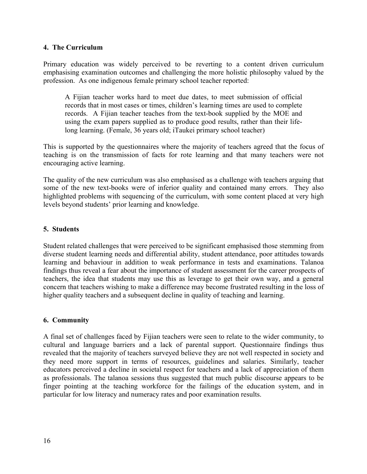#### **4. The Curriculum**

Primary education was widely perceived to be reverting to a content driven curriculum emphasising examination outcomes and challenging the more holistic philosophy valued by the profession. As one indigenous female primary school teacher reported:

A Fijian teacher works hard to meet due dates, to meet submission of official records that in most cases or times, children's learning times are used to complete records. A Fijian teacher teaches from the text-book supplied by the MOE and using the exam papers supplied as to produce good results, rather than their lifelong learning. (Female, 36 years old; iTaukei primary school teacher)

This is supported by the questionnaires where the majority of teachers agreed that the focus of teaching is on the transmission of facts for rote learning and that many teachers were not encouraging active learning.

The quality of the new curriculum was also emphasised as a challenge with teachers arguing that some of the new text-books were of inferior quality and contained many errors. They also highlighted problems with sequencing of the curriculum, with some content placed at very high levels beyond students' prior learning and knowledge.

#### **5. Students**

Student related challenges that were perceived to be significant emphasised those stemming from diverse student learning needs and differential ability, student attendance, poor attitudes towards learning and behaviour in addition to weak performance in tests and examinations. Talanoa findings thus reveal a fear about the importance of student assessment for the career prospects of teachers, the idea that students may use this as leverage to get their own way, and a general concern that teachers wishing to make a difference may become frustrated resulting in the loss of higher quality teachers and a subsequent decline in quality of teaching and learning.

#### **6. Community**

A final set of challenges faced by Fijian teachers were seen to relate to the wider community, to cultural and language barriers and a lack of parental support. Questionnaire findings thus revealed that the majority of teachers surveyed believe they are not well respected in society and they need more support in terms of resources, guidelines and salaries. Similarly, teacher educators perceived a decline in societal respect for teachers and a lack of appreciation of them as professionals. The talanoa sessions thus suggested that much public discourse appears to be finger pointing at the teaching workforce for the failings of the education system, and in particular for low literacy and numeracy rates and poor examination results.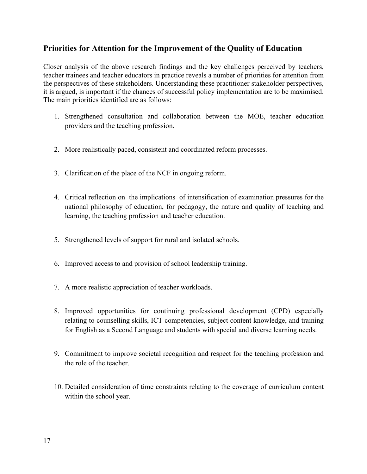### **Priorities for Attention for the Improvement of the Quality of Education**

Closer analysis of the above research findings and the key challenges perceived by teachers, teacher trainees and teacher educators in practice reveals a number of priorities for attention from the perspectives of these stakeholders. Understanding these practitioner stakeholder perspectives, it is argued, is important if the chances of successful policy implementation are to be maximised. The main priorities identified are as follows:

- 1. Strengthened consultation and collaboration between the MOE, teacher education providers and the teaching profession.
- 2. More realistically paced, consistent and coordinated reform processes.
- 3. Clarification of the place of the NCF in ongoing reform.
- 4. Critical reflection on the implications of intensification of examination pressures for the national philosophy of education, for pedagogy, the nature and quality of teaching and learning, the teaching profession and teacher education.
- 5. Strengthened levels of support for rural and isolated schools.
- 6. Improved access to and provision of school leadership training.
- 7. A more realistic appreciation of teacher workloads.
- 8. Improved opportunities for continuing professional development (CPD) especially relating to counselling skills, ICT competencies, subject content knowledge, and training for English as a Second Language and students with special and diverse learning needs.
- 9. Commitment to improve societal recognition and respect for the teaching profession and the role of the teacher.
- 10. Detailed consideration of time constraints relating to the coverage of curriculum content within the school year.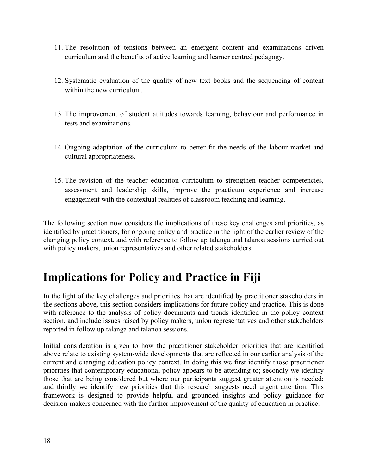- 11. The resolution of tensions between an emergent content and examinations driven curriculum and the benefits of active learning and learner centred pedagogy.
- 12. Systematic evaluation of the quality of new text books and the sequencing of content within the new curriculum.
- 13. The improvement of student attitudes towards learning, behaviour and performance in tests and examinations.
- 14. Ongoing adaptation of the curriculum to better fit the needs of the labour market and cultural appropriateness.
- 15. The revision of the teacher education curriculum to strengthen teacher competencies, assessment and leadership skills, improve the practicum experience and increase engagement with the contextual realities of classroom teaching and learning.

The following section now considers the implications of these key challenges and priorities, as identified by practitioners, for ongoing policy and practice in the light of the earlier review of the changing policy context, and with reference to follow up talanga and talanoa sessions carried out with policy makers, union representatives and other related stakeholders.

# **Implications for Policy and Practice in Fiji**

In the light of the key challenges and priorities that are identified by practitioner stakeholders in the sections above, this section considers implications for future policy and practice. This is done with reference to the analysis of policy documents and trends identified in the policy context section, and include issues raised by policy makers, union representatives and other stakeholders reported in follow up talanga and talanoa sessions.

Initial consideration is given to how the practitioner stakeholder priorities that are identified above relate to existing system-wide developments that are reflected in our earlier analysis of the current and changing education policy context. In doing this we first identify those practitioner priorities that contemporary educational policy appears to be attending to; secondly we identify those that are being considered but where our participants suggest greater attention is needed; and thirdly we identify new priorities that this research suggests need urgent attention. This framework is designed to provide helpful and grounded insights and policy guidance for decision-makers concerned with the further improvement of the quality of education in practice.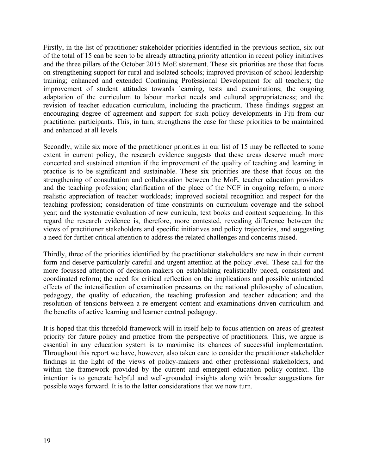Firstly, in the list of practitioner stakeholder priorities identified in the previous section, six out of the total of 15 can be seen to be already attracting priority attention in recent policy initiatives and the three pillars of the October 2015 MoE statement. These six priorities are those that focus on strengthening support for rural and isolated schools; improved provision of school leadership training; enhanced and extended Continuing Professional Development for all teachers; the improvement of student attitudes towards learning, tests and examinations; the ongoing adaptation of the curriculum to labour market needs and cultural appropriateness; and the revision of teacher education curriculum, including the practicum. These findings suggest an encouraging degree of agreement and support for such policy developments in Fiji from our practitioner participants. This, in turn, strengthens the case for these priorities to be maintained and enhanced at all levels.

Secondly, while six more of the practitioner priorities in our list of 15 may be reflected to some extent in current policy, the research evidence suggests that these areas deserve much more concerted and sustained attention if the improvement of the quality of teaching and learning in practice is to be significant and sustainable. These six priorities are those that focus on the strengthening of consultation and collaboration between the MoE, teacher education providers and the teaching profession; clarification of the place of the NCF in ongoing reform; a more realistic appreciation of teacher workloads; improved societal recognition and respect for the teaching profession; consideration of time constraints on curriculum coverage and the school year; and the systematic evaluation of new curricula, text books and content sequencing. In this regard the research evidence is, therefore, more contested, revealing difference between the views of practitioner stakeholders and specific initiatives and policy trajectories, and suggesting a need for further critical attention to address the related challenges and concerns raised.

Thirdly, three of the priorities identified by the practitioner stakeholders are new in their current form and deserve particularly careful and urgent attention at the policy level. These call for the more focussed attention of decision-makers on establishing realistically paced, consistent and coordinated reform; the need for critical reflection on the implications and possible unintended effects of the intensification of examination pressures on the national philosophy of education, pedagogy, the quality of education, the teaching profession and teacher education; and the resolution of tensions between a re-emergent content and examinations driven curriculum and the benefits of active learning and learner centred pedagogy.

It is hoped that this threefold framework will in itself help to focus attention on areas of greatest priority for future policy and practice from the perspective of practitioners. This, we argue is essential in any education system is to maximise its chances of successful implementation. Throughout this report we have, however, also taken care to consider the practitioner stakeholder findings in the light of the views of policy-makers and other professional stakeholders, and within the framework provided by the current and emergent education policy context. The intention is to generate helpful and well-grounded insights along with broader suggestions for possible ways forward. It is to the latter considerations that we now turn.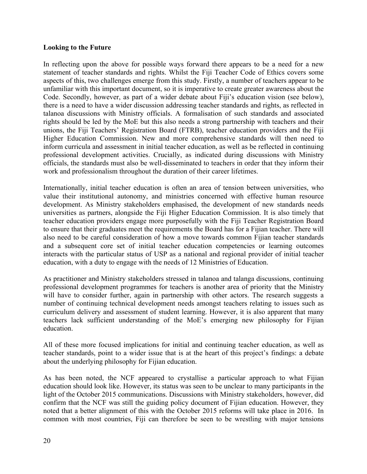#### **Looking to the Future**

In reflecting upon the above for possible ways forward there appears to be a need for a new statement of teacher standards and rights. Whilst the Fiji Teacher Code of Ethics covers some aspects of this, two challenges emerge from this study. Firstly, a number of teachers appear to be unfamiliar with this important document, so it is imperative to create greater awareness about the Code. Secondly, however, as part of a wider debate about Fiji's education vision (see below), there is a need to have a wider discussion addressing teacher standards and rights, as reflected in talanoa discussions with Ministry officials. A formalisation of such standards and associated rights should be led by the MoE but this also needs a strong partnership with teachers and their unions, the Fiji Teachers' Registration Board (FTRB), teacher education providers and the Fiji Higher Education Commission. New and more comprehensive standards will then need to inform curricula and assessment in initial teacher education, as well as be reflected in continuing professional development activities. Crucially, as indicated during discussions with Ministry officials, the standards must also be well-disseminated to teachers in order that they inform their work and professionalism throughout the duration of their career lifetimes.

Internationally, initial teacher education is often an area of tension between universities, who value their institutional autonomy, and ministries concerned with effective human resource development. As Ministry stakeholders emphasised, the development of new standards needs universities as partners, alongside the Fiji Higher Education Commission. It is also timely that teacher education providers engage more purposefully with the Fiji Teacher Registration Board to ensure that their graduates meet the requirements the Board has for a Fijian teacher. There will also need to be careful consideration of how a move towards common Fijian teacher standards and a subsequent core set of initial teacher education competencies or learning outcomes interacts with the particular status of USP as a national and regional provider of initial teacher education, with a duty to engage with the needs of 12 Ministries of Education.

As practitioner and Ministry stakeholders stressed in talanoa and talanga discussions, continuing professional development programmes for teachers is another area of priority that the Ministry will have to consider further, again in partnership with other actors. The research suggests a number of continuing technical development needs amongst teachers relating to issues such as curriculum delivery and assessment of student learning. However, it is also apparent that many teachers lack sufficient understanding of the MoE's emerging new philosophy for Fijian education.

All of these more focused implications for initial and continuing teacher education, as well as teacher standards, point to a wider issue that is at the heart of this project's findings: a debate about the underlying philosophy for Fijian education.

As has been noted, the NCF appeared to crystallise a particular approach to what Fijian education should look like. However, its status was seen to be unclear to many participants in the light of the October 2015 communications. Discussions with Ministry stakeholders, however, did confirm that the NCF was still the guiding policy document of Fijian education. However, they noted that a better alignment of this with the October 2015 reforms will take place in 2016. In common with most countries, Fiji can therefore be seen to be wrestling with major tensions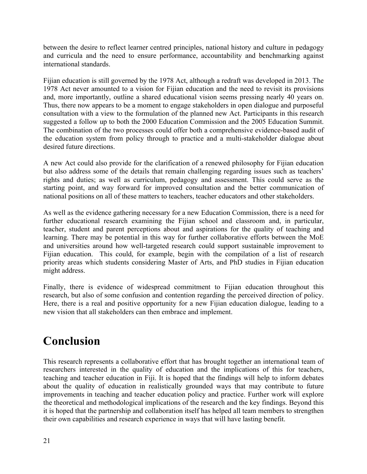between the desire to reflect learner centred principles, national history and culture in pedagogy and curricula and the need to ensure performance, accountability and benchmarking against international standards.

Fijian education is still governed by the 1978 Act, although a redraft was developed in 2013. The 1978 Act never amounted to a vision for Fijian education and the need to revisit its provisions and, more importantly, outline a shared educational vision seems pressing nearly 40 years on. Thus, there now appears to be a moment to engage stakeholders in open dialogue and purposeful consultation with a view to the formulation of the planned new Act. Participants in this research suggested a follow up to both the 2000 Education Commission and the 2005 Education Summit. The combination of the two processes could offer both a comprehensive evidence-based audit of the education system from policy through to practice and a multi-stakeholder dialogue about desired future directions.

A new Act could also provide for the clarification of a renewed philosophy for Fijian education but also address some of the details that remain challenging regarding issues such as teachers' rights and duties; as well as curriculum, pedagogy and assessment. This could serve as the starting point, and way forward for improved consultation and the better communication of national positions on all of these matters to teachers, teacher educators and other stakeholders.

As well as the evidence gathering necessary for a new Education Commission, there is a need for further educational research examining the Fijian school and classroom and, in particular, teacher, student and parent perceptions about and aspirations for the quality of teaching and learning. There may be potential in this way for further collaborative efforts between the MoE and universities around how well-targeted research could support sustainable improvement to Fijian education. This could, for example, begin with the compilation of a list of research priority areas which students considering Master of Arts, and PhD studies in Fijian education might address.

Finally, there is evidence of widespread commitment to Fijian education throughout this research, but also of some confusion and contention regarding the perceived direction of policy. Here, there is a real and positive opportunity for a new Fijian education dialogue, leading to a new vision that all stakeholders can then embrace and implement.

# **Conclusion**

This research represents a collaborative effort that has brought together an international team of researchers interested in the quality of education and the implications of this for teachers, teaching and teacher education in Fiji. It is hoped that the findings will help to inform debates about the quality of education in realistically grounded ways that may contribute to future improvements in teaching and teacher education policy and practice. Further work will explore the theoretical and methodological implications of the research and the key findings. Beyond this it is hoped that the partnership and collaboration itself has helped all team members to strengthen their own capabilities and research experience in ways that will have lasting benefit.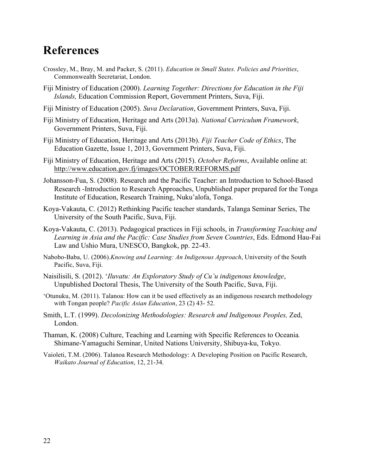### **References**

- Crossley, M., Bray, M. and Packer, S. (2011). *Education in Small States. Policies and Priorities*, Commonwealth Secretariat, London.
- Fiji Ministry of Education (2000). *Learning Together: Directions for Education in the Fiji Islands,* Education Commission Report, Government Printers, Suva, Fiji.
- Fiji Ministry of Education (2005). *Suva Declaration*, Government Printers, Suva, Fiji.
- Fiji Ministry of Education, Heritage and Arts (2013a). *National Curriculum Framework*, Government Printers, Suva, Fiji.
- Fiji Ministry of Education, Heritage and Arts (2013b). *Fiji Teacher Code of Ethics*, The Education Gazette, Issue 1, 2013, Government Printers, Suva, Fiji.
- Fiji Ministry of Education, Heritage and Arts (2015). *October Reforms*, Available online at: http://www.education.gov.fj/images/OCTOBER/REFORMS.pdf
- Johansson-Fua, S. (2008). Research and the Pacific Teacher: an Introduction to School-Based Research -Introduction to Research Approaches, Unpublished paper prepared for the Tonga Institute of Education, Research Training, Nuku'alofa, Tonga.
- Koya-Vakauta, C. (2012) Rethinking Pacific teacher standards, Talanga Seminar Series, The University of the South Pacific, Suva, Fiji.
- Koya-Vakauta, C. (2013). Pedagogical practices in Fiji schools, in *Transforming Teaching and Learning in Asia and the Pacific: Case Studies from Seven Countries*, Eds. Edmond Hau-Fai Law and Ushio Mura, UNESCO, Bangkok, pp. 22-43.
- Nabobo-Baba, U. (2006).*Knowing and Learning: An Indigenous Approach*, University of the South Pacific, Suva, Fiji.
- Naisilisili, S. (2012). '*Iluvatu: An Exploratory Study of Cu'u indigenous knowledge*, Unpublished Doctoral Thesis, The University of the South Pacific, Suva, Fiji.
- 'Otunuku, M. (2011). Talanoa: How can it be used effectively as an indigenous research methodology with Tongan people? *Pacific Asian Education*, 23 (2) 43- 52.
- Smith, L.T. (1999). *Decolonizing Methodologies: Research and Indigenous Peoples,* Zed, London.
- Thaman, K. (2008) Culture, Teaching and Learning with Specific References to Oceania*.*  Shimane-Yamaguchi Seminar, United Nations University, Shibuya-ku, Tokyo.
- Vaioleti, T.M. (2006). Talanoa Research Methodology: A Developing Position on Pacific Research, *Waikato Journal of Education*, 12, 21-34.